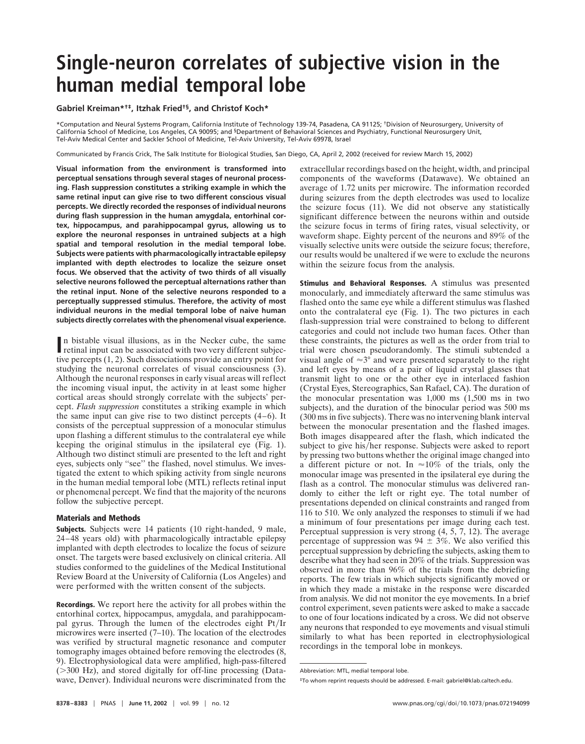## **Single-neuron correlates of subjective vision in the human medial temporal lobe**

**Gabriel Kreiman\*†‡, Itzhak Fried†§, and Christof Koch\***

\*Computation and Neural Systems Program, California Institute of Technology 139-74, Pasadena, CA 91125; †Division of Neurosurgery, University of California School of Medicine, Los Angeles, CA 90095; and §Department of Behavioral Sciences and Psychiatry, Functional Neurosurgery Unit, Tel-Aviv Medical Center and Sackler School of Medicine, Tel-Aviv University, Tel-Aviv 69978, Israel

Communicated by Francis Crick, The Salk Institute for Biological Studies, San Diego, CA, April 2, 2002 (received for review March 15, 2002)

**Visual information from the environment is transformed into perceptual sensations through several stages of neuronal processing. Flash suppression constitutes a striking example in which the same retinal input can give rise to two different conscious visual percepts. We directly recorded the responses of individual neurons during flash suppression in the human amygdala, entorhinal cortex, hippocampus, and parahippocampal gyrus, allowing us to explore the neuronal responses in untrained subjects at a high spatial and temporal resolution in the medial temporal lobe. Subjects were patients with pharmacologically intractable epilepsy implanted with depth electrodes to localize the seizure onset focus. We observed that the activity of two thirds of all visually selective neurons followed the perceptual alternations rather than the retinal input. None of the selective neurons responded to a perceptually suppressed stimulus. Therefore, the activity of most individual neurons in the medial temporal lobe of naive human subjects directly correlates with the phenomenal visual experience.**

In bistable visual illusions, as in the Necker cube, the same retinal input can be associated with two very different subjection retinal input can be associated with two very different subjective percepts (1, 2). Such dissociations provide an entry point for studying the neuronal correlates of visual consciousness (3). Although the neuronal responses in early visual areas will reflect the incoming visual input, the activity in at least some higher cortical areas should strongly correlate with the subjects' percept. *Flash suppression* constitutes a striking example in which the same input can give rise to two distinct percepts (4–6). It consists of the perceptual suppression of a monocular stimulus upon flashing a different stimulus to the contralateral eye while keeping the original stimulus in the ipsilateral eye (Fig. 1). Although two distinct stimuli are presented to the left and right eyes, subjects only ''see'' the flashed, novel stimulus. We investigated the extent to which spiking activity from single neurons in the human medial temporal lobe (MTL) reflects retinal input or phenomenal percept. We find that the majority of the neurons follow the subjective percept.

## **Materials and Methods**

**Subjects.** Subjects were 14 patients (10 right-handed, 9 male, 24–48 years old) with pharmacologically intractable epilepsy implanted with depth electrodes to localize the focus of seizure onset. The targets were based exclusively on clinical criteria. All studies conformed to the guidelines of the Medical Institutional Review Board at the University of California (Los Angeles) and were performed with the written consent of the subjects.

**Recordings.** We report here the activity for all probes within the entorhinal cortex, hippocampus, amygdala, and parahippocampal gyrus. Through the lumen of the electrodes eight Pt/Ir microwires were inserted (7–10). The location of the electrodes was verified by structural magnetic resonance and computer tomography images obtained before removing the electrodes (8, 9). Electrophysiological data were amplified, high-pass-filtered  $($ >300 Hz), and stored digitally for off-line processing (Datawave, Denver). Individual neurons were discriminated from the

extracellular recordings based on the height, width, and principal components of the waveforms (Datawave). We obtained an average of 1.72 units per microwire. The information recorded during seizures from the depth electrodes was used to localize the seizure focus (11). We did not observe any statistically significant difference between the neurons within and outside the seizure focus in terms of firing rates, visual selectivity, or waveform shape. Eighty percent of the neurons and 89% of the visually selective units were outside the seizure focus; therefore, our results would be unaltered if we were to exclude the neurons within the seizure focus from the analysis.

**Stimulus and Behavioral Responses.** A stimulus was presented monocularly, and immediately afterward the same stimulus was flashed onto the same eye while a different stimulus was flashed onto the contralateral eye (Fig. 1). The two pictures in each flash-suppression trial were constrained to belong to different categories and could not include two human faces. Other than these constraints, the pictures as well as the order from trial to trial were chosen pseudorandomly. The stimuli subtended a visual angle of  $\approx 3^{\circ}$  and were presented separately to the right and left eyes by means of a pair of liquid crystal glasses that transmit light to one or the other eye in interlaced fashion (Crystal Eyes, Stereographics, San Rafael, CA). The duration of the monocular presentation was 1,000 ms (1,500 ms in two subjects), and the duration of the binocular period was 500 ms (300 ms in five subjects). There was no intervening blank interval between the monocular presentation and the flashed images. Both images disappeared after the flash, which indicated the subject to give his/her response. Subjects were asked to report by pressing two buttons whether the original image changed into a different picture or not. In  $\approx 10\%$  of the trials, only the monocular image was presented in the ipsilateral eye during the flash as a control. The monocular stimulus was delivered randomly to either the left or right eye. The total number of presentations depended on clinical constraints and ranged from 116 to 510. We only analyzed the responses to stimuli if we had a minimum of four presentations per image during each test. Perceptual suppression is very strong (4, 5, 7, 12). The average percentage of suppression was  $94 \pm 3\%$ . We also verified this perceptual suppression by debriefing the subjects, asking them to describe what they had seen in 20% of the trials. Suppression was observed in more than 96% of the trials from the debriefing reports. The few trials in which subjects significantly moved or in which they made a mistake in the response were discarded from analysis. We did not monitor the eye movements. In a brief control experiment, seven patients were asked to make a saccade to one of four locations indicated by a cross. We did not observe any neurons that responded to eye movements and visual stimuli similarly to what has been reported in electrophysiological recordings in the temporal lobe in monkeys.

Abbreviation: MTL, medial temporal lobe.

<sup>‡</sup>To whom reprint requests should be addressed. E-mail: gabriel@klab.caltech.edu.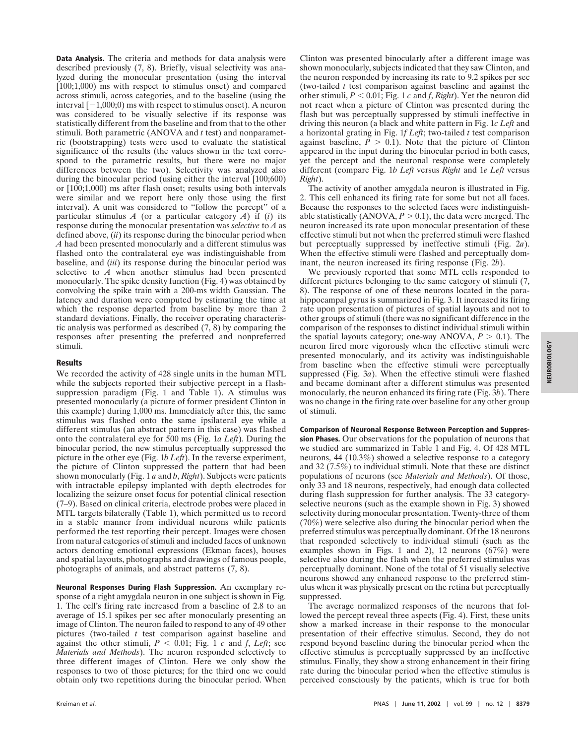**Data Analysis.** The criteria and methods for data analysis were described previously (7, 8). Briefly, visual selectivity was analyzed during the monocular presentation (using the interval [100;1,000) ms with respect to stimulus onset) and compared across stimuli, across categories, and to the baseline (using the interval  $[-1,000;0)$  ms with respect to stimulus onset). A neuron was considered to be visually selective if its response was statistically different from the baseline and from that to the other stimuli. Both parametric (ANOVA and *t* test) and nonparametric (bootstrapping) tests were used to evaluate the statistical significance of the results (the values shown in the text correspond to the parametric results, but there were no major differences between the two). Selectivity was analyzed also during the binocular period (using either the interval [100;600) or [100;1,000) ms after flash onset; results using both intervals were similar and we report here only those using the first interval). A unit was considered to ''follow the percept'' of a particular stimulus  $A$  (or a particular category  $A$ ) if (*i*) its response during the monocular presentation was *selective* to *A* as defined above, (*ii*) its response during the binocular period when *A* had been presented monocularly and a different stimulus was flashed onto the contralateral eye was indistinguishable from baseline, and (*iii*) its response during the binocular period was selective to *A* when another stimulus had been presented monocularly. The spike density function (Fig. 4) was obtained by convolving the spike train with a 200-ms width Gaussian. The latency and duration were computed by estimating the time at which the response departed from baseline by more than 2 standard deviations. Finally, the receiver operating characteristic analysis was performed as described (7, 8) by comparing the responses after presenting the preferred and nonpreferred stimuli.

## **Results**

We recorded the activity of 428 single units in the human MTL while the subjects reported their subjective percept in a flashsuppression paradigm (Fig. 1 and Table 1). A stimulus was presented monocularly (a picture of former president Clinton in this example) during 1,000 ms. Immediately after this, the same stimulus was flashed onto the same ipsilateral eye while a different stimulus (an abstract pattern in this case) was flashed onto the contralateral eye for 500 ms (Fig. 1*a Left*). During the binocular period, the new stimulus perceptually suppressed the picture in the other eye (Fig. 1*b Left*). In the reverse experiment, the picture of Clinton suppressed the pattern that had been shown monocularly (Fig. 1 *a* and *b*, *Right*). Subjects were patients with intractable epilepsy implanted with depth electrodes for localizing the seizure onset focus for potential clinical resection (7–9). Based on clinical criteria, electrode probes were placed in MTL targets bilaterally (Table 1), which permitted us to record in a stable manner from individual neurons while patients performed the test reporting their percept. Images were chosen from natural categories of stimuli and included faces of unknown actors denoting emotional expressions (Ekman faces), houses and spatial layouts, photographs and drawings of famous people, photographs of animals, and abstract patterns (7, 8).

**Neuronal Responses During Flash Suppression.** An exemplary response of a right amygdala neuron in one subject is shown in Fig. 1. The cell's firing rate increased from a baseline of 2.8 to an average of 15.1 spikes per sec after monocularly presenting an image of Clinton. The neuron failed to respond to any of 49 other pictures (two-tailed *t* test comparison against baseline and against the other stimuli,  $P < 0.01$ ; Fig. 1 *c* and *f*, *Left*; see *Materials and Methods*). The neuron responded selectively to three different images of Clinton. Here we only show the responses to two of those pictures; for the third one we could obtain only two repetitions during the binocular period. When

Clinton was presented binocularly after a different image was shown monocularly, subjects indicated that they saw Clinton, and the neuron responded by increasing its rate to 9.2 spikes per sec (two-tailed *t* test comparison against baseline and against the other stimuli,  $P < 0.01$ ; Fig. 1  $c$  and  $f$ , *Right*). Yet the neuron did not react when a picture of Clinton was presented during the flash but was perceptually suppressed by stimuli ineffective in driving this neuron (a black and white pattern in Fig. 1*c Left* and a horizontal grating in Fig. 1*f Left*; two-tailed *t* test comparison against baseline,  $\overline{P} > 0.1$ ). Note that the picture of Clinton appeared in the input during the binocular period in both cases, yet the percept and the neuronal response were completely different (compare Fig. 1*b Left* versus *Right* and 1*e Left* versus *Right*).

The activity of another amygdala neuron is illustrated in Fig. 2. This cell enhanced its firing rate for some but not all faces. Because the responses to the selected faces were indistinguishable statistically  $(ANOVA, P > 0.1)$ , the data were merged. The neuron increased its rate upon monocular presentation of these effective stimuli but not when the preferred stimuli were flashed but perceptually suppressed by ineffective stimuli (Fig. 2*a*). When the effective stimuli were flashed and perceptually dominant, the neuron increased its firing response (Fig. 2*b*).

We previously reported that some MTL cells responded to different pictures belonging to the same category of stimuli (7, 8). The response of one of these neurons located in the parahippocampal gyrus is summarized in Fig. 3. It increased its firing rate upon presentation of pictures of spatial layouts and not to other groups of stimuli (there was no significant difference in the comparison of the responses to distinct individual stimuli within the spatial layouts category; one-way ANOVA,  $P > 0.1$ ). The neuron fired more vigorously when the effective stimuli were presented monocularly, and its activity was indistinguishable from baseline when the effective stimuli were perceptually suppressed (Fig. 3*a*). When the effective stimuli were flashed and became dominant after a different stimulus was presented monocularly, the neuron enhanced its firing rate (Fig. 3*b*). There was no change in the firing rate over baseline for any other group of stimuli.

**Comparison of Neuronal Response Between Perception and Suppression Phases.** Our observations for the population of neurons that we studied are summarized in Table 1 and Fig. 4. Of 428 MTL neurons, 44 (10.3%) showed a selective response to a category and 32 (7.5%) to individual stimuli. Note that these are distinct populations of neurons (see *Materials and Methods*). Of those, only 33 and 18 neurons, respectively, had enough data collected during flash suppression for further analysis. The 33 categoryselective neurons (such as the example shown in Fig. 3) showed selectivity during monocular presentation. Twenty-three of them (70%) were selective also during the binocular period when the preferred stimulus was perceptually dominant. Of the 18 neurons that responded selectively to individual stimuli (such as the examples shown in Figs. 1 and 2), 12 neurons (67%) were selective also during the flash when the preferred stimulus was perceptually dominant. None of the total of 51 visually selective neurons showed any enhanced response to the preferred stimulus when it was physically present on the retina but perceptually suppressed.

The average normalized responses of the neurons that followed the percept reveal three aspects (Fig. 4). First, these units show a marked increase in their response to the monocular presentation of their effective stimulus. Second, they do not respond beyond baseline during the binocular period when the effective stimulus is perceptually suppressed by an ineffective stimulus. Finally, they show a strong enhancement in their firing rate during the binocular period when the effective stimulus is perceived consciously by the patients, which is true for both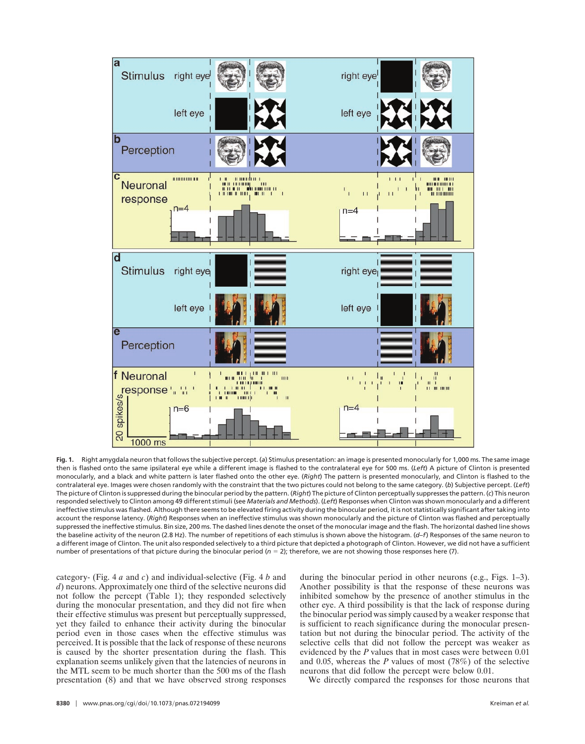

**Fig. 1.** Right amygdala neuron that follows the subjective percept. (*a*) Stimulus presentation: an image is presented monocularly for 1,000 ms. The same image then is flashed onto the same ipsilateral eye while a different image is flashed to the contralateral eye for 500 ms. (*Left*) A picture of Clinton is presented monocularly, and a black and white pattern is later flashed onto the other eye. (*Right*) The pattern is presented monocularly, and Clinton is flashed to the contralateral eye. Images were chosen randomly with the constraint that the two pictures could not belong to the same category. (*b*) Subjective percept. (*Left*) The picture of Clinton is suppressed during the binocular period by the pattern. (*Right*) The picture of Clinton perceptually suppresses the pattern. (*c*) This neuron responded selectively to Clinton among 49 different stimuli (see *Materials and Methods*). (*Left*) Responses when Clinton was shown monocularly and a different ineffective stimulus was flashed. Although there seems to be elevated firing activity during the binocular period, it is not statistically significant after taking into account the response latency. (*Right*) Responses when an ineffective stimulus was shown monocularly and the picture of Clinton was flashed and perceptually suppressed the ineffective stimulus. Bin size, 200 ms. The dashed lines denote the onset of the monocular image and the flash. The horizontal dashed line shows the baseline activity of the neuron (2.8 Hz). The number of repetitions of each stimulus is shown above the histogram. (*d*–*f*) Responses of the same neuron to a different image of Clinton. The unit also responded selectively to a third picture that depicted a photograph of Clinton. However, we did not have a sufficient number of presentations of that picture during the binocular period ( $n = 2$ ); therefore, we are not showing those responses here (7).

category- (Fig. 4 *a* and *c*) and individual-selective (Fig. 4 *b* and *d*) neurons. Approximately one third of the selective neurons did not follow the percept (Table 1); they responded selectively during the monocular presentation, and they did not fire when their effective stimulus was present but perceptually suppressed, yet they failed to enhance their activity during the binocular period even in those cases when the effective stimulus was perceived. It is possible that the lack of response of these neurons is caused by the shorter presentation during the flash. This explanation seems unlikely given that the latencies of neurons in the MTL seem to be much shorter than the 500 ms of the flash presentation (8) and that we have observed strong responses during the binocular period in other neurons (e.g., Figs. 1–3). Another possibility is that the response of these neurons was inhibited somehow by the presence of another stimulus in the other eye. A third possibility is that the lack of response during the binocular period was simply caused by a weaker response that is sufficient to reach significance during the monocular presentation but not during the binocular period. The activity of the selective cells that did not follow the percept was weaker as evidenced by the *P* values that in most cases were between 0.01 and 0.05, whereas the *P* values of most (78%) of the selective neurons that did follow the percept were below 0.01.

We directly compared the responses for those neurons that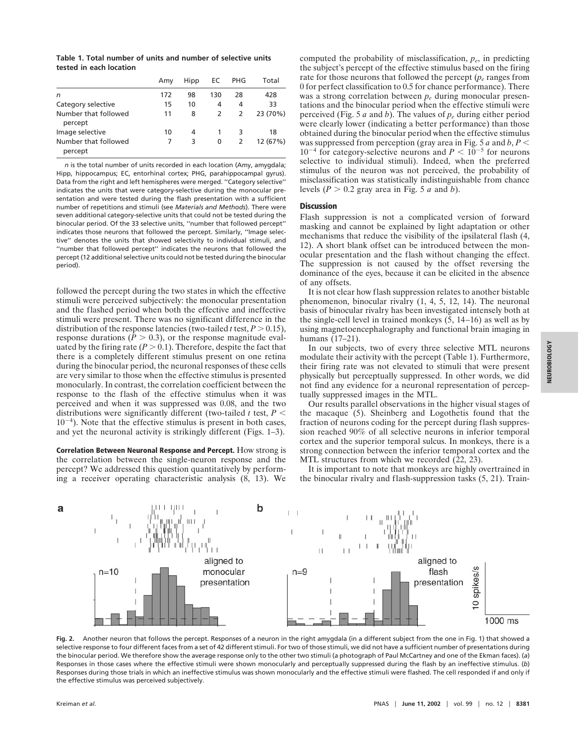**Table 1. Total number of units and number of selective units tested in each location**

|                                 | Amy | Hipp | EC  | PHG | Total    |
|---------------------------------|-----|------|-----|-----|----------|
| n                               | 172 | 98   | 130 | 28  | 428      |
| Category selective              | 15  | 10   | 4   | 4   | 33       |
| Number that followed<br>percept | 11  | 8    | 2   | 2   | 23 (70%) |
| Image selective                 | 10  | 4    |     | 3   | 18       |
| Number that followed<br>percept |     | 3    | 0   | 2   | 12 (67%) |

*n* is the total number of units recorded in each location (Amy, amygdala; Hipp, hippocampus; EC, entorhinal cortex; PHG, parahippocampal gyrus). Data from the right and left hemispheres were merged. ''Category selective'' indicates the units that were category-selective during the monocular presentation and were tested during the flash presentation with a sufficient number of repetitions and stimuli (see *Materials and Methods*). There were seven additional category-selective units that could not be tested during the binocular period. Of the 33 selective units, ''number that followed percept'' indicates those neurons that followed the percept. Similarly, ''Image selective'' denotes the units that showed selectivity to individual stimuli, and ''number that followed percept'' indicates the neurons that followed the percept (12 additional selective units could not be tested during the binocular period).

followed the percept during the two states in which the effective stimuli were perceived subjectively: the monocular presentation and the flashed period when both the effective and ineffective stimuli were present. There was no significant difference in the distribution of the response latencies (two-tailed *t* test,  $P > 0.15$ ), response durations ( $\hat{P} > 0.3$ ), or the response magnitude evaluated by the firing rate  $(P > 0.1)$ . Therefore, despite the fact that there is a completely different stimulus present on one retina during the binocular period, the neuronal responses of these cells are very similar to those when the effective stimulus is presented monocularly. In contrast, the correlation coefficient between the response to the flash of the effective stimulus when it was perceived and when it was suppressed was 0.08, and the two distributions were significantly different (two-tailed  $t$  test,  $P \leq$  $10^{-4}$ ). Note that the effective stimulus is present in both cases, and yet the neuronal activity is strikingly different (Figs. 1–3).

**Correlation Between Neuronal Response and Percept.** How strong is the correlation between the single-neuron response and the percept? We addressed this question quantitatively by performing a receiver operating characteristic analysis (8, 13). We

computed the probability of misclassification, *pe*, in predicting the subject's percept of the effective stimulus based on the firing rate for those neurons that followed the percept  $(p_e$  ranges from 0 for perfect classification to 0.5 for chance performance). There was a strong correlation between *pe* during monocular presentations and the binocular period when the effective stimuli were perceived (Fig. 5 *a* and *b*). The values of *pe* during either period were clearly lower (indicating a better performance) than those obtained during the binocular period when the effective stimulus was suppressed from perception (gray area in Fig. 5 *a* and *b*, *P*  $10^{-4}$  for category-selective neurons and  $P < 10^{-5}$  for neurons selective to individual stimuli). Indeed, when the preferred stimulus of the neuron was not perceived, the probability of misclassification was statistically indistinguishable from chance levels ( $P > 0.2$  gray area in Fig. 5 *a* and *b*).

## **Discussion**

Flash suppression is not a complicated version of forward masking and cannot be explained by light adaptation or other mechanisms that reduce the visibility of the ipsilateral flash (4, 12). A short blank offset can be introduced between the monocular presentation and the flash without changing the effect. The suppression is not caused by the offset reversing the dominance of the eyes, because it can be elicited in the absence of any offsets.

It is not clear how flash suppression relates to another bistable phenomenon, binocular rivalry (1, 4, 5, 12, 14). The neuronal basis of binocular rivalry has been investigated intensely both at the single-cell level in trained monkeys (5, 14–16) as well as by using magnetoencephalography and functional brain imaging in humans (17–21).

In our subjects, two of every three selective MTL neurons modulate their activity with the percept (Table 1). Furthermore, their firing rate was not elevated to stimuli that were present physically but perceptually suppressed. In other words, we did not find any evidence for a neuronal representation of perceptually suppressed images in the MTL.

Our results parallel observations in the higher visual stages of the macaque (5). Sheinberg and Logothetis found that the fraction of neurons coding for the percept during flash suppression reached 90% of all selective neurons in inferior temporal cortex and the superior temporal sulcus. In monkeys, there is a strong connection between the inferior temporal cortex and the MTL structures from which we recorded  $(22, 23)$ .

It is important to note that monkeys are highly overtrained in the binocular rivalry and flash-suppression tasks (5, 21). Train-



Fig. 2. Another neuron that follows the percept. Responses of a neuron in the right amygdala (in a different subject from the one in Fig. 1) that showed a selective response to four different faces from a set of 42 different stimuli. For two of those stimuli, we did not have a sufficient number of presentations during the binocular period. We therefore show the average response only to the other two stimuli (a photograph of Paul McCartney and one of the Ekman faces). (*a*) Responses in those cases where the effective stimuli were shown monocularly and perceptually suppressed during the flash by an ineffective stimulus. (*b*) Responses during those trials in which an ineffective stimulus was shown monocularly and the effective stimuli were flashed. The cell responded if and only if the effective stimulus was perceived subjectively.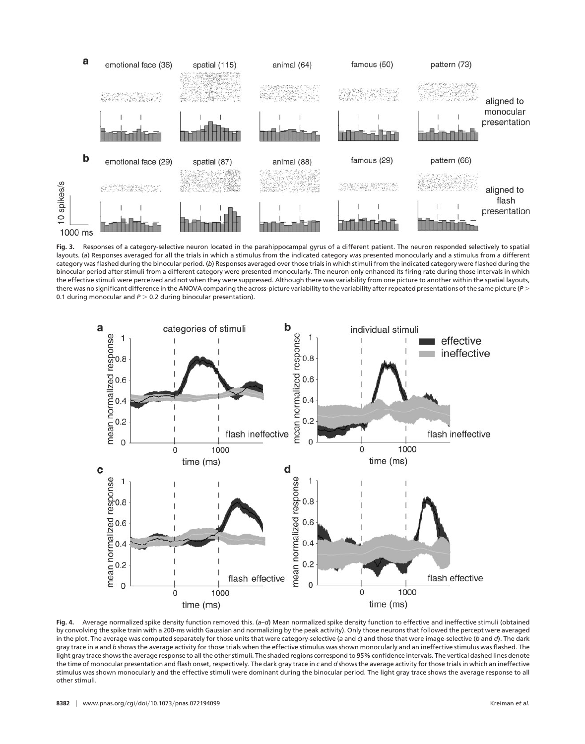

**Fig. 3.** Responses of a category-selective neuron located in the parahippocampal gyrus of a different patient. The neuron responded selectively to spatial layouts. (*a*) Responses averaged for all the trials in which a stimulus from the indicated category was presented monocularly and a stimulus from a different category was flashed during the binocular period. (*b*) Responses averaged over those trials in which stimuli from the indicated category were flashed during the binocular period after stimuli from a different category were presented monocularly. The neuron only enhanced its firing rate during those intervals in which the effective stimuli were perceived and not when they were suppressed. Although there was variability from one picture to another within the spatial layouts, there was no significant difference in the ANOVA comparing the across-picture variability to the variability after repeated presentations of the same picture (*P* > 0.1 during monocular and  $P > 0.2$  during binocular presentation).



**Fig. 4.** Average normalized spike density function removed this. (*a*–*d*) Mean normalized spike density function to effective and ineffective stimuli (obtained by convolving the spike train with a 200-ms width Gaussian and normalizing by the peak activity). Only those neurons that followed the percept were averaged in the plot. The average was computed separately for those units that were category-selective (*a* and *c*) and those that were image-selective (*b* and *d*). The dark gray trace in *a* and *b* shows the average activity for those trials when the effective stimulus was shown monocularly and an ineffective stimulus was flashed. The light gray trace shows the average response to all the other stimuli. The shaded regions correspond to 95% confidence intervals. The vertical dashed lines denote the time of monocular presentation and flash onset, respectively. The dark gray trace in *c* and *d* shows the average activity for those trials in which an ineffective stimulus was shown monocularly and the effective stimuli were dominant during the binocular period. The light gray trace shows the average response to all other stimuli.